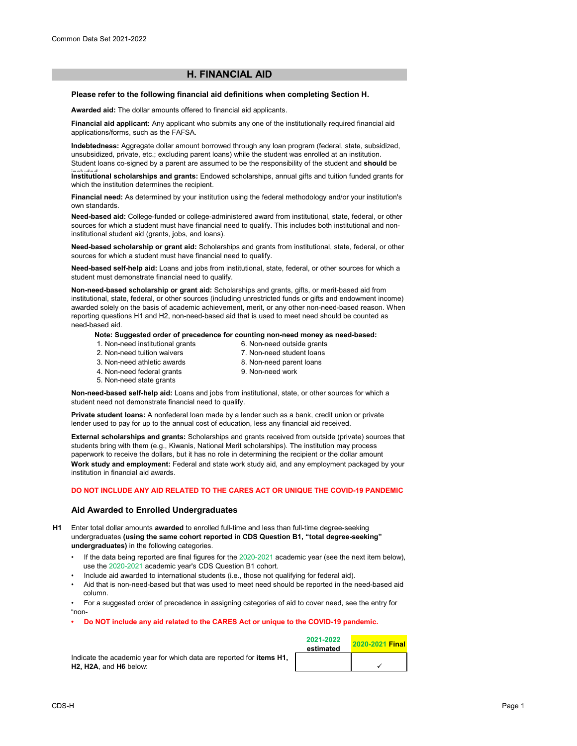# **H. FINANCIAL AID**

### **Please refer to the following financial aid definitions when completing Section H.**

**Awarded aid:** The dollar amounts offered to financial aid applicants.

**Financial aid applicant:** Any applicant who submits any one of the institutionally required financial aid applications/forms, such as the FAFSA.

**Indebtedness:** Aggregate dollar amount borrowed through any loan program (federal, state, subsidized, unsubsidized, private, etc.; excluding parent loans) while the student was enrolled at an institution. Student loans co-signed by a parent are assumed to be the responsibility of the student and **should** be

Institutional scholarships and grants: Endowed scholarships, annual gifts and tuition funded grants for which the institution determines the recipient.

**Financial need:** As determined by your institution using the federal methodology and/or your institution's own standards.

**Need-based aid:** College-funded or college-administered award from institutional, state, federal, or other sources for which a student must have financial need to qualify. This includes both institutional and noninstitutional student aid (grants, jobs, and loans).

**Need-based scholarship or grant aid:** Scholarships and grants from institutional, state, federal, or other sources for which a student must have financial need to qualify.

**Need-based self-help aid:** Loans and jobs from institutional, state, federal, or other sources for which a student must demonstrate financial need to qualify.

**Non-need-based scholarship or grant aid:** Scholarships and grants, gifts, or merit-based aid from institutional, state, federal, or other sources (including unrestricted funds or gifts and endowment income) awarded solely on the basis of academic achievement, merit, or any other non-need-based reason. When reporting questions H1 and H2, non-need-based aid that is used to meet need should be counted as need-based aid.

#### **Note: Suggested order of precedence for counting non-need money as need-based:**

- 1. Non-need institutional grants
- 6. Non-need outside grants
- 2. Non-need tuition waivers 3. Non-need athletic awards
- 7. Non-need student loans 8. Non-need parent loans
- 4. Non-need federal grants
- 9. Non-need work
- 5. Non-need state grants

**Non-need-based self-help aid:** Loans and jobs from institutional, state, or other sources for which a student need not demonstrate financial need to qualify.

**Private student loans:** A nonfederal loan made by a lender such as a bank, credit union or private lender used to pay for up to the annual cost of education, less any financial aid received.

**External scholarships and grants:** Scholarships and grants received from outside (private) sources that students bring with them (e.g., Kiwanis, National Merit scholarships). The institution may process paperwork to receive the dollars, but it has no role in determining the recipient or the dollar amount **Work study and employment:** Federal and state work study aid, and any employment packaged by your institution in financial aid awards.

## **DO NOT INCLUDE ANY AID RELATED TO THE CARES ACT OR UNIQUE THE COVID-19 PANDEMIC**

## **Aid Awarded to Enrolled Undergraduates**

**H1** Enter total dollar amounts **awarded** to enrolled full-time and less than full-time degree-seeking undergraduates **(using the same cohort reported in CDS Question B1, "total degree-seeking" undergraduates)** in the following categories.

- If the data being reported are final figures for the 2020-2021 academic year (see the next item below), use the 2020-2021 academic year's CDS Question B1 cohort.
- Include aid awarded to international students (i.e., those not qualifying for federal aid).
- Aid that is non-need-based but that was used to meet need should be reported in the need-based aid column.
- For a suggested order of precedence in assigning categories of aid to cover need, see the entry for "non-
- **Do NOT include any aid related to the CARES Act or unique to the COVID-19 pandemic.**

Indicate the academic year for which data are reported for **items H1, H2, H2A**, and **H6** below:

| 2021-2022<br>estimated | <b>2020-2021 Final</b> |
|------------------------|------------------------|
|                        |                        |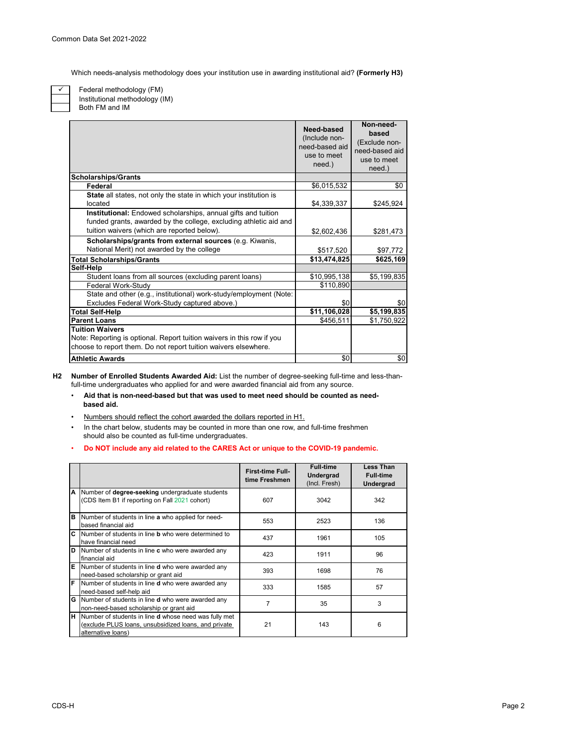Which needs-analysis methodology does your institution use in awarding institutional aid? **(Formerly H3)**

 $\checkmark$ 

Federal methodology (FM) Institutional methodology (IM)

Both FM and IM

|                                                                                                                                                                                   | Need-based<br>(Include non-<br>need-based aid<br>use to meet<br>need.) | Non-need-<br>based<br>(Exclude non-<br>need-based aid<br>use to meet<br>$need.$ ) |
|-----------------------------------------------------------------------------------------------------------------------------------------------------------------------------------|------------------------------------------------------------------------|-----------------------------------------------------------------------------------|
| <b>Scholarships/Grants</b>                                                                                                                                                        |                                                                        |                                                                                   |
| Federal                                                                                                                                                                           | \$6,015,532                                                            | \$0                                                                               |
| State all states, not only the state in which your institution is                                                                                                                 |                                                                        |                                                                                   |
| located                                                                                                                                                                           | \$4,339,337                                                            | \$245,924                                                                         |
| Institutional: Endowed scholarships, annual gifts and tuition<br>funded grants, awarded by the college, excluding athletic aid and<br>tuition waivers (which are reported below). | \$2,602,436                                                            | \$281,473                                                                         |
| Scholarships/grants from external sources (e.g. Kiwanis,                                                                                                                          |                                                                        |                                                                                   |
|                                                                                                                                                                                   |                                                                        |                                                                                   |
| National Merit) not awarded by the college                                                                                                                                        | \$517,520                                                              | \$97,772                                                                          |
| <b>Total Scholarships/Grants</b>                                                                                                                                                  | \$13,474,825                                                           | \$625,169                                                                         |
| Self-Help                                                                                                                                                                         |                                                                        |                                                                                   |
| Student loans from all sources (excluding parent loans)                                                                                                                           | \$10,995,138                                                           | \$5,199,835                                                                       |
| Federal Work-Study                                                                                                                                                                | \$110,890                                                              |                                                                                   |
| State and other (e.g., institutional) work-study/employment (Note:                                                                                                                |                                                                        |                                                                                   |
| Excludes Federal Work-Study captured above.)                                                                                                                                      | \$0                                                                    | \$0                                                                               |
| <b>Total Self-Help</b>                                                                                                                                                            | \$11,106,028                                                           | \$5,199,835                                                                       |
| <b>Parent Loans</b>                                                                                                                                                               | \$456,511                                                              | \$1,750,922                                                                       |
| <b>Tuition Waivers</b>                                                                                                                                                            |                                                                        |                                                                                   |
| Note: Reporting is optional. Report tuition waivers in this row if you                                                                                                            |                                                                        |                                                                                   |
| choose to report them. Do not report tuition waivers elsewhere.                                                                                                                   |                                                                        |                                                                                   |
| <b>Athletic Awards</b>                                                                                                                                                            | \$0                                                                    | \$0                                                                               |

**H2 Number of Enrolled Students Awarded Aid:** List the number of degree-seeking full-time and less-thanfull-time undergraduates who applied for and were awarded financial aid from any source.

- • **Aid that is non-need-based but that was used to meet need should be counted as need based aid.**
- Numbers should reflect the cohort awarded the dollars reported in H1.
- In the chart below, students may be counted in more than one row, and full-time freshmen should also be counted as full-time undergraduates.

# • **Do NOT include any aid related to the CARES Act or unique to the COVID-19 pandemic.**

|    |                                                                                                                                            | <b>First-time Full-</b><br>time Freshmen | <b>Full-time</b><br><b>Undergrad</b><br>(Incl. Fresh) | <b>Less Than</b><br><b>Full-time</b><br>Undergrad |
|----|--------------------------------------------------------------------------------------------------------------------------------------------|------------------------------------------|-------------------------------------------------------|---------------------------------------------------|
| A  | Number of degree-seeking undergraduate students<br>(CDS Item B1 if reporting on Fall 2021 cohort)                                          | 607                                      | 3042                                                  | 342                                               |
| B  | Number of students in line a who applied for need-<br>based financial aid                                                                  | 553                                      | 2523                                                  | 136                                               |
| C. | Number of students in line <b>b</b> who were determined to<br>have financial need                                                          | 437                                      | 1961                                                  | 105                                               |
| D  | Number of students in line c who were awarded any<br>financial aid                                                                         | 423                                      | 1911                                                  | 96                                                |
| E  | Number of students in line <b>d</b> who were awarded any<br>need-based scholarship or grant aid                                            | 393                                      | 1698                                                  | 76                                                |
| F  | Number of students in line d who were awarded any<br>need-based self-help aid                                                              | 333                                      | 1585                                                  | 57                                                |
| G  | Number of students in line <b>d</b> who were awarded any<br>non-need-based scholarship or grant aid                                        | 7                                        | 35                                                    | 3                                                 |
| H. | Number of students in line <b>d</b> whose need was fully met<br>(exclude PLUS loans, unsubsidized loans, and private<br>alternative loans) | 21                                       | 143                                                   | 6                                                 |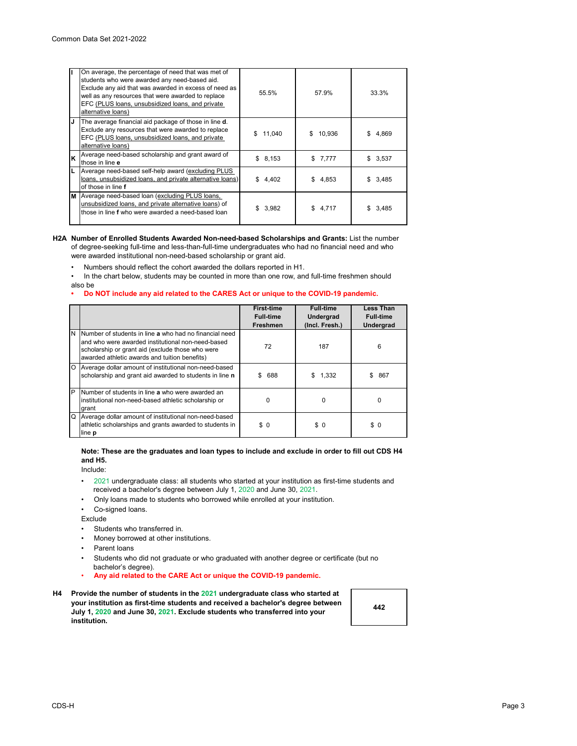|    | On average, the percentage of need that was met of<br>students who were awarded any need-based aid.<br>Exclude any aid that was awarded in excess of need as<br>well as any resources that were awarded to replace<br>EFC (PLUS loans, unsubsidized loans, and private<br>alternative loans) | 55.5%        | 57.9%        | 33.3%   |
|----|----------------------------------------------------------------------------------------------------------------------------------------------------------------------------------------------------------------------------------------------------------------------------------------------|--------------|--------------|---------|
| IJ | The average financial aid package of those in line d.<br>Exclude any resources that were awarded to replace<br>EFC (PLUS loans, unsubsidized loans, and private<br>alternative loans)                                                                                                        | \$<br>11,040 | \$<br>10,936 | 4,869   |
| Ιĸ | Average need-based scholarship and grant award of<br>those in line e                                                                                                                                                                                                                         | \$8,153      | \$7,777      | \$3,537 |
| L  | Average need-based self-help award (excluding PLUS<br>loans, unsubsidized loans, and private alternative loans)<br>of those in line f                                                                                                                                                        | \$<br>4,402  | \$4,853      | \$3,485 |
|    | M Average need-based loan (excluding PLUS loans,<br>unsubsidized loans, and private alternative loans) of<br>those in line f who were awarded a need-based loan                                                                                                                              | \$<br>3,982  | \$4.717      | 3.485   |

### **H2A Number of Enrolled Students Awarded Non-need-based Scholarships and Grants:** List the number of degree-seeking full-time and less-than-full-time undergraduates who had no financial need and who were awarded institutional non-need-based scholarship or grant aid.

• Numbers should reflect the cohort awarded the dollars reported in H1.

• In the chart below, students may be counted in more than one row, and full-time freshmen should also be

#### **• Do NOT include any aid related to the CARES Act or unique to the COVID-19 pandemic.**

|   |                                                                                                                                                                                                                      | <b>First-time</b><br><b>Full-time</b><br><b>Freshmen</b> | <b>Full-time</b><br>Undergrad<br>(Incl. Fresh.) | <b>Less Than</b><br><b>Full-time</b><br><b>Undergrad</b> |
|---|----------------------------------------------------------------------------------------------------------------------------------------------------------------------------------------------------------------------|----------------------------------------------------------|-------------------------------------------------|----------------------------------------------------------|
|   | IN INumber of students in line a who had no financial need<br>and who were awarded institutional non-need-based<br>scholarship or grant aid (exclude those who were<br>awarded athletic awards and tuition benefits) | 72                                                       | 187                                             | 6                                                        |
|   | O Average dollar amount of institutional non-need-based<br>scholarship and grant aid awarded to students in line n                                                                                                   | \$<br>688                                                | \$1,332                                         | 867<br>S                                                 |
| P | Number of students in line a who were awarded an<br>institutional non-need-based athletic scholarship or<br>grant                                                                                                    | 0                                                        | 0                                               | $\Omega$                                                 |
| Q | Average dollar amount of institutional non-need-based<br>athletic scholarships and grants awarded to students in<br>line <b>p</b>                                                                                    | \$0                                                      | \$0                                             | \$0                                                      |

### **Note: These are the graduates and loan types to include and exclude in order to fill out CDS H4 and H5.**

Include:

- •2021 undergraduate class: all students who started at your institution as first-time students and received a bachelor's degree between July 1, 2020 and June 30, 2021.
- Only loans made to students who borrowed while enrolled at your institution.
- Co-signed loans.

Exclude

- Students who transferred in.
- Money borrowed at other institutions.
- Parent loans
- Students who did not graduate or who graduated with another degree or certificate (but no bachelor's degree).
- **Any aid related to the CARE Act or unique the COVID-19 pandemic.**
- **H4 Provide the number of students in the 2021 undergraduate class who started at your institution as first-time students and received a bachelor's degree between July 1, 2020 and June 30, 2021. Exclude students who transferred into your institution.**

**442**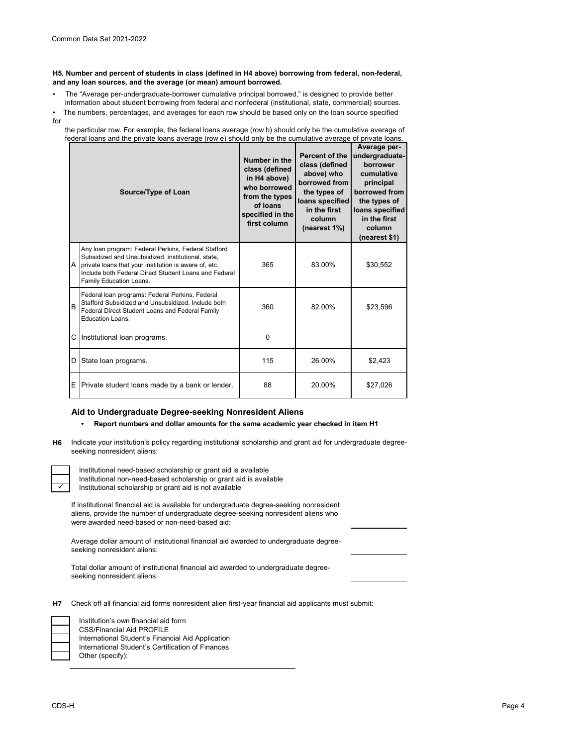**H5. Number and percent of students in class (defined in H4 above) borrowing from federal, non-federal, and any loan sources, and the average (or mean) amount borrowed.**

• The "Average per-undergraduate-borrower cumulative principal borrowed," is designed to provide better information about student borrowing from federal and nonfederal (institutional, state, commercial) sources.

|              | • The numbers, percentages, and averages for each row should be based only on the loan source specified |  |  |  |
|--------------|---------------------------------------------------------------------------------------------------------|--|--|--|
| $\mathbf{r}$ |                                                                                                         |  |  |  |

 the particular row. For example, the federal loans average (row b) should only be the cumulative average of federal loans and the private loans average (row e) should only be the cumulative average of private loans.

|   | Source/Type of Loan                                                                                                                                                                                                                                    | Number in the<br>class (defined<br>in H4 above)<br>who borrowed<br>from the types<br>of loans<br>specified in the<br>first column | Percent of the<br>class (defined<br>above) who<br>borrowed from<br>the types of<br>loans specified<br>in the first<br>column<br>(nearest 1%) | Average per-<br>undergraduate-<br>borrower<br>cumulative<br>principal<br>borrowed from<br>the types of<br>loans specified<br>in the first<br>column<br>(nearest \$1) |
|---|--------------------------------------------------------------------------------------------------------------------------------------------------------------------------------------------------------------------------------------------------------|-----------------------------------------------------------------------------------------------------------------------------------|----------------------------------------------------------------------------------------------------------------------------------------------|----------------------------------------------------------------------------------------------------------------------------------------------------------------------|
| A | Any loan program: Federal Perkins, Federal Stafford<br>Subsidized and Unsubsidized, institutional, state,<br>private loans that your institution is aware of, etc.<br>Include both Federal Direct Student Loans and Federal<br>Family Education Loans. | 365                                                                                                                               | 83.00%                                                                                                                                       | \$30,552                                                                                                                                                             |
| B | Federal loan programs: Federal Perkins, Federal<br>Stafford Subsidized and Unsubsidized. Include both<br>Federal Direct Student Loans and Federal Family<br>Education Loans.                                                                           | 360                                                                                                                               | 82.00%                                                                                                                                       | \$23,596                                                                                                                                                             |
| C | Institutional loan programs.                                                                                                                                                                                                                           | $\Omega$                                                                                                                          |                                                                                                                                              |                                                                                                                                                                      |
| D | State loan programs.                                                                                                                                                                                                                                   | 115                                                                                                                               | 26.00%                                                                                                                                       | \$2,423                                                                                                                                                              |
| Ε | Private student loans made by a bank or lender.                                                                                                                                                                                                        | 88                                                                                                                                | 20.00%                                                                                                                                       | \$27,026                                                                                                                                                             |

## **Aid to Undergraduate Degree-seeking Nonresident Aliens**

## **• Report numbers and dollar amounts for the same academic year checked in item H1**

**H6** Indicate your institution's policy regarding institutional scholarship and grant aid for undergraduate degreeseeking nonresident aliens:

Institutional need-based scholarship or grant aid is available Institutional non-need-based scholarship or grant aid is available Institutional scholarship or grant aid is not available

If institutional financial aid is available for undergraduate degree-seeking nonresident aliens, provide the number of undergraduate degree-seeking nonresident aliens who were awarded need-based or non-need-based aid:

Average dollar amount of institutional financial aid awarded to undergraduate degreeseeking nonresident aliens:

Total dollar amount of institutional financial aid awarded to undergraduate degreeseeking nonresident aliens:

**H7** Check off all financial aid forms nonresident alien first-year financial aid applicants must submit:

| Institution's own financial aid form              |
|---------------------------------------------------|
| <b>CSS/Financial Aid PROFILE</b>                  |
| International Student's Financial Aid Application |
| International Student's Certification of Finances |
| Other (specify):                                  |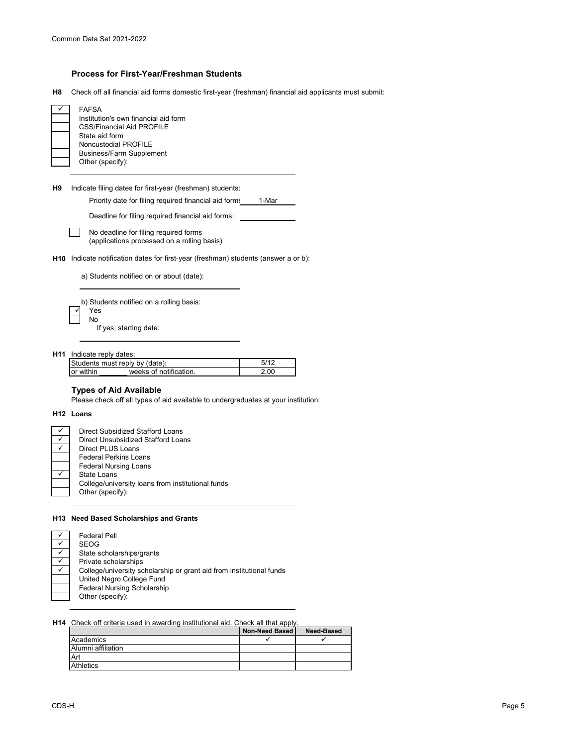# **Process for First-Year/Freshman Students**

**H8** Check off all financial aid forms domestic first-year (freshman) financial aid applicants must submit:

| FAFSA<br>Institution's own financial aid form<br><b>CSS/Financial Aid PROFILE</b><br>State aid form<br>Noncustodial PROFILE<br><b>Business/Farm Supplement</b><br>Other (specify): |
|------------------------------------------------------------------------------------------------------------------------------------------------------------------------------------|
|------------------------------------------------------------------------------------------------------------------------------------------------------------------------------------|

**H9** Indicate filing dates for first-year (freshman) students:

Priority date for filing required financial aid form: 1-Mar

Deadline for filing required financial aid forms:

No deadline for filing required forms  $\perp$ (applications processed on a rolling basis)

**H10** Indicate notification dates for first-year (freshman) students (answer a or b):

a) Students notified on or about (date):

b) Students notified on a rolling basis: Yes No If yes, starting date:

**H11** Indicate reply dates:

|           | Students must reply by (date): |  |
|-----------|--------------------------------|--|
| or within | weeks of notification          |  |

# **Types of Aid Available**

Please check off all types of aid available to undergraduates at your institution:

#### **H12 Loans**

| Direct Subsidized Stafford Loans                  |
|---------------------------------------------------|
| Direct Unsubsidized Stafford Loans                |
| Direct PLUS Loans                                 |
| <b>Federal Perkins Loans</b>                      |
| <b>Federal Nursing Loans</b>                      |
| State Loans                                       |
| College/university loans from institutional funds |
| Other (specify):                                  |

## **H13 Need Based Scholarships and Grants**

| <b>Federal Pell</b>                                                  |
|----------------------------------------------------------------------|
| <b>SEOG</b>                                                          |
| State scholarships/grants                                            |
| Private scholarships                                                 |
| College/university scholarship or grant aid from institutional funds |
| United Negro College Fund                                            |
| <b>Federal Nursing Scholarship</b>                                   |
| Other (specify):                                                     |

## **H14** Check off criteria used in awarding institutional aid. Check all that apply.

|                    | Non-Need Based | Need-Based |
|--------------------|----------------|------------|
| Academics          |                |            |
| Alumni affiliation |                |            |
| Art                |                |            |
| <b>Athletics</b>   |                |            |